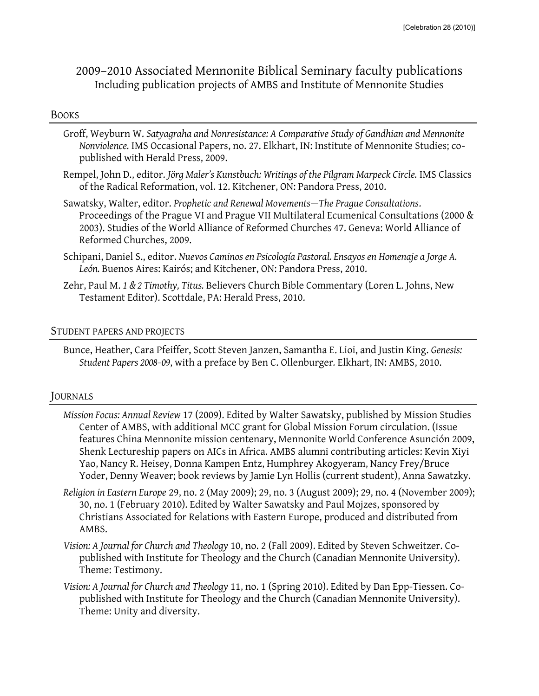# 2009–2010 Associated Mennonite Biblical Seminary faculty publications Including publication projects of AMBS and Institute of Mennonite Studies

#### BOOKS

- Groff, Weyburn W. *Satyagraha and Nonresistance: A Comparative Study of Gandhian and Mennonite Nonviolence.* IMS Occasional Papers, no. 27. Elkhart, IN: Institute of Mennonite Studies; copublished with Herald Press, 2009.
- Rempel, John D., editor. *Jörg Maler's Kunstbuch: Writings of the Pilgram Marpeck Circle.* IMS Classics of the Radical Reformation, vol. 12. Kitchener, ON: Pandora Press, 2010.
- Sawatsky, Walter, editor. *Prophetic and Renewal Movements*—*The Prague Consultations*. Proceedings of the Prague VI and Prague VII Multilateral Ecumenical Consultations (2000 & 2003). Studies of the World Alliance of Reformed Churches 47. Geneva: World Alliance of Reformed Churches, 2009.
- Schipani, Daniel S., editor. *Nuevos Caminos en Psicología Pastoral. Ensayos en Homenaje a Jorge A. León.* Buenos Aires: Kairós; and Kitchener, ON: Pandora Press, 2010.
- Zehr, Paul M. *1 & 2 Timothy, Titus.* Believers Church Bible Commentary (Loren L. Johns, New Testament Editor). Scottdale, PA: Herald Press, 2010.

### STUDENT PAPERS AND PROJECTS

Bunce, Heather, Cara Pfeiffer, Scott Steven Janzen, Samantha E. Lioi, and Justin King. *Genesis: Student Papers 2008–09*, with a preface by Ben C. Ollenburger*.* Elkhart, IN: AMBS, 2010.

### JOURNALS

- *Mission Focus: Annual Review* 17 (2009). Edited by Walter Sawatsky, published by Mission Studies Center of AMBS, with additional MCC grant for Global Mission Forum circulation. (Issue features China Mennonite mission centenary, Mennonite World Conference Asunción 2009, Shenk Lectureship papers on AICs in Africa. AMBS alumni contributing articles: Kevin Xiyi Yao, Nancy R. Heisey, Donna Kampen Entz, Humphrey Akogyeram, Nancy Frey/Bruce Yoder, Denny Weaver; book reviews by Jamie Lyn Hollis (current student), Anna Sawatzky.
- *Religion in Eastern Europe* 29, no. 2 (May 2009); 29, no. 3 (August 2009); 29, no. 4 (November 2009); 30, no. 1 (February 2010). Edited by Walter Sawatsky and Paul Mojzes, sponsored by Christians Associated for Relations with Eastern Europe, produced and distributed from AMBS.
- *Vision: A Journal for Church and Theology* 10, no. 2 (Fall 2009). Edited by Steven Schweitzer. Copublished with Institute for Theology and the Church (Canadian Mennonite University). Theme: Testimony.
- *Vision: A Journal for Church and Theology* 11, no. 1 (Spring 2010). Edited by Dan Epp-Tiessen. Copublished with Institute for Theology and the Church (Canadian Mennonite University). Theme: Unity and diversity.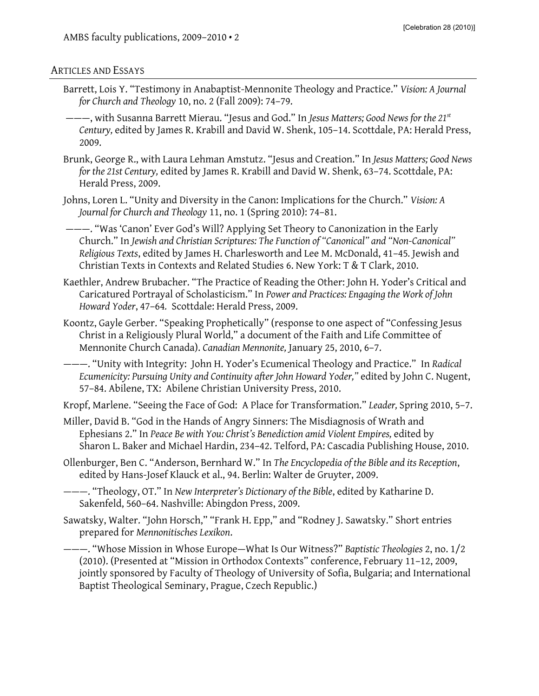#### ARTICLES AND ESSAYS

- Barrett, Lois Y. "Testimony in Anabaptist-Mennonite Theology and Practice." *Vision: A Journal for Church and Theology* 10, no. 2 (Fall 2009): 74–79.
- ———, with Susanna Barrett Mierau. "Jesus and God." In *Jesus Matters; Good News for the 21st Century,* edited by James R. Krabill and David W. Shenk, 105–14. Scottdale, PA: Herald Press, 2009.
- Brunk, George R., with Laura Lehman Amstutz. "Jesus and Creation." In *Jesus Matters; Good News for the 21st Century,* edited by James R. Krabill and David W. Shenk, 63–74. Scottdale, PA: Herald Press, 2009.
- Johns, Loren L. "Unity and Diversity in the Canon: Implications for the Church." *Vision: A Journal for Church and Theology* 11, no. 1 (Spring 2010): 74–81.
- ———. "Was 'Canon' Ever God's Will? Applying Set Theory to Canonization in the Early Church." In *Jewish and Christian Scriptures: The Function of "Canonical" and "Non-Canonical" Religious Texts*, edited by James H. Charlesworth and Lee M. McDonald, 41–45*.* Jewish and Christian Texts in Contexts and Related Studies 6. New York: T & T Clark, 2010.
- Kaethler, Andrew Brubacher. "The Practice of Reading the Other: John H. Yoder's Critical and Caricatured Portrayal of Scholasticism." In *Power and Practices: Engaging the Work of John Howard Yoder*, 47–64*.* Scottdale: Herald Press, 2009.
- Koontz, Gayle Gerber. "Speaking Prophetically" (response to one aspect of "Confessing Jesus Christ in a Religiously Plural World," a document of the Faith and Life Committee of Mennonite Church Canada). *Canadian Mennonite,* January 25, 2010, 6–7.
- ———. "Unity with Integrity: John H. Yoder's Ecumenical Theology and Practice." In *Radical Ecumenicity: Pursuing Unity and Continuity after John Howard Yoder,"* edited by John C. Nugent, 57–84. Abilene, TX: Abilene Christian University Press, 2010.

Kropf, Marlene. "Seeing the Face of God: A Place for Transformation." *Leader,* Spring 2010, 5–7.

- Miller, David B. "God in the Hands of Angry Sinners: The Misdiagnosis of Wrath and Ephesians 2." In *Peace Be with You: Christ's Benediction amid Violent Empires,* edited by Sharon L. Baker and Michael Hardin, 234–42. Telford, PA: Cascadia Publishing House, 2010.
- Ollenburger, Ben C. "Anderson, Bernhard W." In *The Encyclopedia of the Bible and its Reception*, edited by Hans-Josef Klauck et al., 94. Berlin: Walter de Gruyter, 2009.
- ———. "Theology, OT." In *New Interpreter's Dictionary of the Bible*, edited by Katharine D. Sakenfeld, 560–64. Nashville: Abingdon Press, 2009.
- Sawatsky, Walter. "John Horsch," "Frank H. Epp," and "Rodney J. Sawatsky." Short entries prepared for *Mennonitisches Lexikon*.
- ———. "Whose Mission in Whose Europe—What Is Our Witness?" *Baptistic Theologies* 2, no. 1/2 (2010). (Presented at "Mission in Orthodox Contexts" conference, February 11–12, 2009, jointly sponsored by Faculty of Theology of University of Sofia, Bulgaria; and International Baptist Theological Seminary, Prague, Czech Republic.)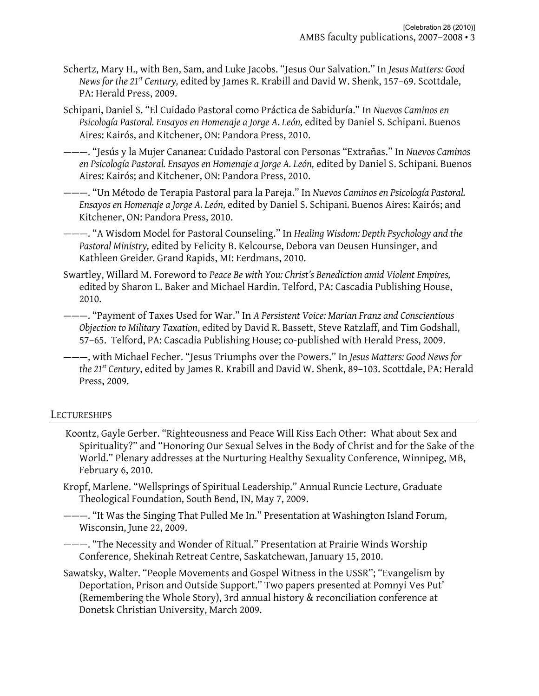- Schertz, Mary H., with Ben, Sam, and Luke Jacobs. "Jesus Our Salvation." In *Jesus Matters: Good News for the 21st Century,* edited by James R. Krabill and David W. Shenk, 157–69. Scottdale, PA: Herald Press, 2009.
- Schipani, Daniel S. "El Cuidado Pastoral como Práctica de Sabiduría." In *Nuevos Caminos en Psicología Pastoral. Ensayos en Homenaje a Jorge A. León,* edited by Daniel S. Schipani*.* Buenos Aires: Kairós, and Kitchener, ON: Pandora Press, 2010.
- ———. "Jesús y la Mujer Cananea: Cuidado Pastoral con Personas "Extrañas." In *Nuevos Caminos en Psicología Pastoral. Ensayos en Homenaje a Jorge A. León,* edited by Daniel S. Schipani*.* Buenos Aires: Kairós; and Kitchener, ON: Pandora Press, 2010.
- ———. "Un Método de Terapia Pastoral para la Pareja." In *Nuevos Caminos en Psicología Pastoral. Ensayos en Homenaje a Jorge A. León,* edited by Daniel S. Schipani*.* Buenos Aires: Kairós; and Kitchener, ON: Pandora Press, 2010.
- ———. "A Wisdom Model for Pastoral Counseling." In *Healing Wisdom: Depth Psychology and the Pastoral Ministry,* edited by Felicity B. Kelcourse, Debora van Deusen Hunsinger, and Kathleen Greider*.* Grand Rapids, MI: Eerdmans, 2010.
- Swartley, Willard M. Foreword to *Peace Be with You: Christ's Benediction amid Violent Empires,*  edited by Sharon L. Baker and Michael Hardin. Telford, PA: Cascadia Publishing House, 2010.
- ———. "Payment of Taxes Used for War." In *A Persistent Voice: Marian Franz and Conscientious Objection to Military Taxation*, edited by David R. Bassett, Steve Ratzlaff, and Tim Godshall, 57–65. Telford, PA: Cascadia Publishing House; co-published with Herald Press, 2009.
- ———, with Michael Fecher. "Jesus Triumphs over the Powers." In *Jesus Matters: Good News for the 21st Century*, edited by James R. Krabill and David W. Shenk, 89–103. Scottdale, PA: Herald Press, 2009.

## LECTURESHIPS

- Koontz, Gayle Gerber. "Righteousness and Peace Will Kiss Each Other: What about Sex and Spirituality?" and "Honoring Our Sexual Selves in the Body of Christ and for the Sake of the World." Plenary addresses at the Nurturing Healthy Sexuality Conference, Winnipeg, MB, February 6, 2010.
- Kropf, Marlene. "Wellsprings of Spiritual Leadership." Annual Runcie Lecture, Graduate Theological Foundation, South Bend, IN, May 7, 2009.
- ———. "It Was the Singing That Pulled Me In." Presentation at Washington Island Forum, Wisconsin, June 22, 2009.
- ———. "The Necessity and Wonder of Ritual." Presentation at Prairie Winds Worship Conference, Shekinah Retreat Centre, Saskatchewan, January 15, 2010.
- Sawatsky, Walter. "People Movements and Gospel Witness in the USSR"; "Evangelism by Deportation, Prison and Outside Support." Two papers presented at Pomnyi Ves Put' (Remembering the Whole Story), 3rd annual history & reconciliation conference at Donetsk Christian University, March 2009.